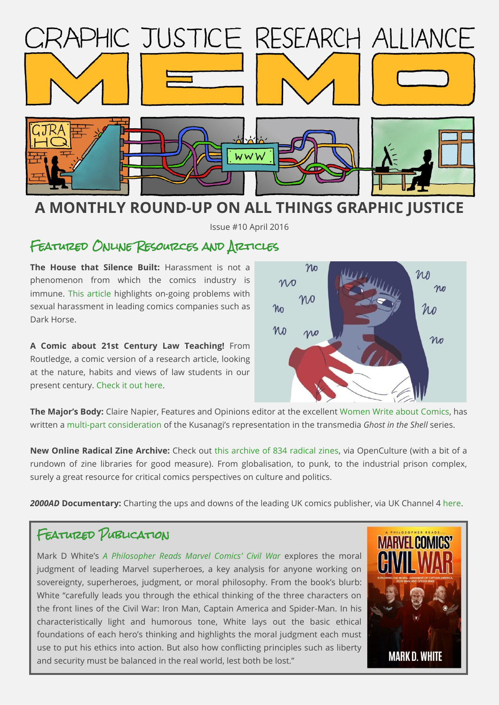

# **A MONTHLY ROUND-UP ON ALL THINGS GRAPHIC JUSTICE**

Issue #10 April 2016

# FEATURED ONLINE RESOURCES AND ARTICLES

**The House that Silence Built:** Harassment is not a phenomenon from which the comics industry is immune. [This article](http://comicsalliance.com/comics-industry-harassment/) highlights on-going problems with sexual harassment in leading comics companies such as Dark Horse.

**A Comic about 21st Century Law Teaching!** From Routledge, a comic version of a research article, looking at the nature, habits and views of law students in our present century. [Check it out here.](http://newsroom.taylorandfrancisgroup.com/news/press-release/the-21st-century-law-student#.VyIdfnq3Fh6)



**The Major's Body:** Claire Napier, Features and Opinions editor at the excellent [Women Write about Comics,](http://womenwriteaboutcomics.com/) has written a [multi-part consideration](http://womenwriteaboutcomics.com/2014/07/22/ghost-in-the-shell-the-majors-body-1/) of the Kusanagi's representation in the transmedia *Ghost in the Shell* series.

**New Online Radical Zine Archive:** Check out [this archive of 834 radical zines,](http://www.openculture.com/2016/04/download-834-radical-zines-from-a-new-online-archive.html) via OpenCulture (with a bit of a rundown of zine libraries for good measure). From globalisation, to punk, to the industrial prison complex, surely a great resource for critical comics perspectives on culture and politics.

*2000AD* **Documentary:** Charting the ups and downs of the leading UK comics publisher, via UK Channel 4 [here.](http://www.channel4.com/programmes/future-shock-the-story-of-2000ad)

# FEATURED PUBLICATION

Mark D White's *[A Philosopher Reads Marvel Comics](http://www.ockham-publishing.com/book/13/)' Civil War* explores the moral judgment of leading Marvel superheroes, a key analysis for anyone working on sovereignty, superheroes, judgment, or moral philosophy. From the book's blurb: White "carefully leads you through the ethical thinking of the three characters on the front lines of the Civil War: Iron Man, Captain America and Spider-Man. In his characteristically light and humorous tone, White lays out the basic ethical foundations of each hero's thinking and highlights the moral judgment each must use to put his ethics into action. But also how conflicting principles such as liberty and security must be balanced in the real world, lest both be lost."